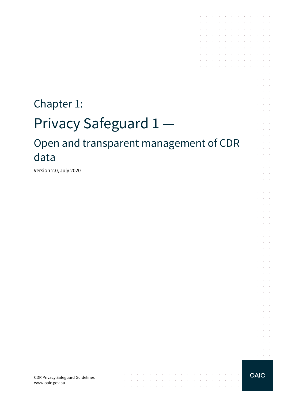# Chapter 1: Privacy Safeguard 1 — Open and transparent management of CDR data

 $\mathcal{A}$  . The contribution of the contribution of the contribution of  $\mathcal{A}$ 

 $\mathcal{A}$  . The contribution of the contribution of the contribution of the contribution of

the contract of the contract of the contract of

 $\sim$   $\sim$ 

**Contractor** 

Version 2.0, July 2020

CDR Privacy Safeguard Guidelines www.oaic.gov.au



 $\alpha = 1, \ldots, n$ 

and a series of the contract of the series of and the company of the company of the

**Carl Carl Carl** 

 $\sim$ 

 $\alpha$  and  $\alpha$ 

and a state

 $\mathcal{L}$  $\sim$  $\alpha$  and  $\alpha$ 

 $\sim$  $\sim 10^{-11}$  $\sim$ 

 $\bar{L}$  $\sim 10^{-11}$ 

 $\sim$  $\Delta \sim 10^{-1}$  $\mathcal{L}^{\text{max}}$  and  $\mathcal{L}^{\text{max}}$ 

 $\mathcal{L}$ **Service Sales** 

 $\sim$  $\alpha$  and  $\alpha$ 

 $\mathcal{L}^{\mathcal{L}}$  $\sim 10^{-11}$  km

a.

 $\mathcal{A}$  . The second contribution of the second contribution  $\mathcal{A}$ **Contractor** 

the control of the control of the contract of the contract of the  $\mathcal{A}^{\mathcal{A}}$  , and  $\mathcal{A}^{\mathcal{A}}$  , and  $\mathcal{A}^{\mathcal{A}}$  , and  $\mathcal{A}^{\mathcal{A}}$  , and  $\mathcal{A}^{\mathcal{A}}$ 

 $\mathcal{L}^{\mathcal{A}}$  . The set of the set of the set of the set of the set of  $\mathcal{L}^{\mathcal{A}}$ and the state of the state of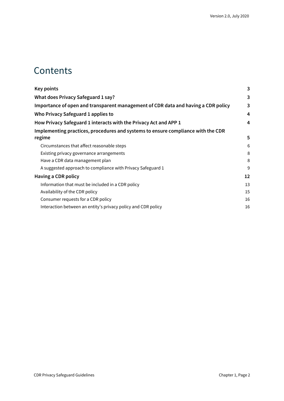### **Contents**

| <b>Key points</b>                                                                 | 3  |
|-----------------------------------------------------------------------------------|----|
| What does Privacy Safeguard 1 say?                                                | 3  |
| Importance of open and transparent management of CDR data and having a CDR policy | 3  |
| Who Privacy Safeguard 1 applies to                                                | 4  |
| How Privacy Safeguard 1 interacts with the Privacy Act and APP 1                  | 4  |
| Implementing practices, procedures and systems to ensure compliance with the CDR  |    |
| regime                                                                            | 5  |
| Circumstances that affect reasonable steps                                        | 6  |
| Existing privacy governance arrangements                                          | 8  |
| Have a CDR data management plan                                                   | 8  |
| A suggested approach to compliance with Privacy Safeguard 1                       | 9  |
| Having a CDR policy                                                               | 12 |
| Information that must be included in a CDR policy                                 | 13 |
| Availability of the CDR policy                                                    | 15 |
| Consumer requests for a CDR policy                                                | 16 |
| Interaction between an entity's privacy policy and CDR policy                     | 16 |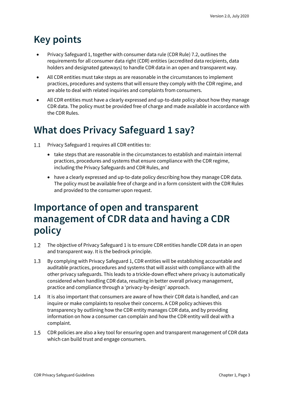# <span id="page-2-0"></span>**Key points**

- Privacy Safeguard 1, together with consumer data rule (CDR Rule) 7.2, outlines the requirements for all consumer data right (CDR) entities (accredited data recipients, data holders and designated gateways) to handle CDR data in an open and transparent way.
- All CDR entities must take steps as are reasonable in the circumstances to implement practices, procedures and systems that will ensure they comply with the CDR regime, and are able to deal with related inquiries and complaints from consumers.
- All CDR entities must have a clearly expressed and up-to-date policy about how they manage CDR data. The policy must be provided free of charge and made available in accordance with the CDR Rules.

# <span id="page-2-1"></span>**What does Privacy Safeguard 1 say?**

- $1.1$ Privacy Safeguard 1 requires all CDR entities to:
	- take steps that are reasonable in the circumstances to establish and maintain internal practices, procedures and systems that ensure compliance with the CDR regime, including the Privacy Safeguards and CDR Rules, and
	- have a clearly expressed and up-to-date policy describing how they manage CDR data. The policy must be available free of charge and in a form consistent with the CDR Rules and provided to the consumer upon request.

### <span id="page-2-2"></span>**Importance of open and transparent management of CDR data and having a CDR policy**

- $1.2$ The objective of Privacy Safeguard 1 is to ensure CDR entities handle CDR data in an open and transparent way. It is the bedrock principle.
- $1.3$ By complying with Privacy Safeguard 1, CDR entities will be establishing accountable and auditable practices, procedures and systems that will assist with compliance with all the other privacy safeguards. This leads to a trickle-down effect where privacy is automatically considered when handling CDR data, resulting in better overall privacy management, practice and compliance through a 'privacy-by-design' approach.
- $1.4$ It is also important that consumers are aware of how their CDR data is handled, and can inquire or make complaints to resolve their concerns. A CDR policy achieves this transparency by outlining how the CDR entity manages CDR data, and by providing information on how a consumer can complain and how the CDR entity will deal with a complaint.
- $1.5$ CDR policies are also a key tool for ensuring open and transparent management of CDR data which can build trust and engage consumers.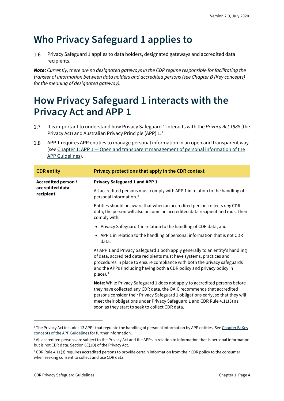# <span id="page-3-0"></span>**Who Privacy Safeguard 1 applies to**

Privacy Safeguard 1 applies to data holders, designated gateways and accredited data  $1.6$ recipients.

*Note: Currently, there are no designated gateways in the CDR regime responsible for facilitating the transfer of information between data holders and accredited persons (see Chapter B (Key concepts) for the meaning of designated gateway).*

# <span id="page-3-1"></span>**How Privacy Safeguard 1 interacts with the Privacy Act and APP 1**

- $1.7$ It is important to understand how Privacy Safeguard 1 interacts with the *Privacy Act 1988* (the Privacy Act) and Australian Privacy Principle (APP) [1](#page-3-2).<sup>1</sup>
- APP 1 requires APP entities to manage personal information in an open and transparent way 1.8 (see Chapter 1: APP 1 — [Open and transparent management of personal information of the](https://www.oaic.gov.au/privacy/australian-privacy-principles-guidelines/chapter-1-app-1-open-and-transparent-management-of-personal-information/)  [APP Guidelines\)](https://www.oaic.gov.au/privacy/australian-privacy-principles-guidelines/chapter-1-app-1-open-and-transparent-management-of-personal-information/).

| <b>CDR</b> entity                                   | Privacy protections that apply in the CDR context                                                                                                                                                                                                                                                                                                                      |
|-----------------------------------------------------|------------------------------------------------------------------------------------------------------------------------------------------------------------------------------------------------------------------------------------------------------------------------------------------------------------------------------------------------------------------------|
| Accredited person /<br>accredited data<br>recipient | <b>Privacy Safeguard 1 and APP 1</b>                                                                                                                                                                                                                                                                                                                                   |
|                                                     | All accredited persons must comply with APP 1 in relation to the handling of<br>personal information. <sup>2</sup>                                                                                                                                                                                                                                                     |
|                                                     | Entities should be aware that when an accredited person collects any CDR<br>data, the person will also become an accredited data recipient and must then<br>comply with:                                                                                                                                                                                               |
|                                                     | • Privacy Safeguard 1 in relation to the handling of CDR data, and                                                                                                                                                                                                                                                                                                     |
|                                                     | • APP 1 in relation to the handling of personal information that is not CDR<br>data.                                                                                                                                                                                                                                                                                   |
|                                                     | As APP 1 and Privacy Safeguard 1 both apply generally to an entity's handling<br>of data, accredited data recipients must have systems, practices and<br>procedures in place to ensure compliance with both the privacy safeguards<br>and the APPs (including having both a CDR policy and privacy policy in<br>$place).$ <sup>3</sup>                                 |
|                                                     | Note: While Privacy Safeguard 1 does not apply to accredited persons before<br>they have collected any CDR data, the OAIC recommends that accredited<br>persons consider their Privacy Safeguard 1 obligations early, so that they will<br>meet their obligations under Privacy Safeguard 1 and CDR Rule 4.11(3) as<br>soon as they start to seek to collect CDR data. |

<span id="page-3-2"></span><sup>&</sup>lt;sup>1</sup> The Privacy Act includes 13 APPs that regulate the handling of personal information by APP entities. See Chapter B: Key [concepts of the APP Guidelines](https://www.oaic.gov.au/privacy/australian-privacy-principles-guidelines/chapter-b-key-concepts/) for further information.

<span id="page-3-3"></span><sup>&</sup>lt;sup>2</sup> All accredited persons are subject to the Privacy Act and the APPs in relation to information that is personal information but is not CDR data. Section 6E(1D) of the Privacy Act.

<span id="page-3-4"></span><sup>&</sup>lt;sup>3</sup> CDR Rule 4.11(3) requires accredited persons to provide certain information from their CDR policy to the consumer when seeking consent to collect and use CDR data.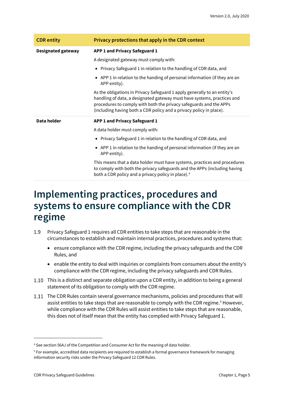| <b>CDR</b> entity         | Privacy protections that apply in the CDR context                                                                                                                                                                                                                                                |
|---------------------------|--------------------------------------------------------------------------------------------------------------------------------------------------------------------------------------------------------------------------------------------------------------------------------------------------|
| <b>Designated gateway</b> | APP 1 and Privacy Safeguard 1                                                                                                                                                                                                                                                                    |
|                           | A designated gateway must comply with:                                                                                                                                                                                                                                                           |
|                           | • Privacy Safeguard 1 in relation to the handling of CDR data, and                                                                                                                                                                                                                               |
|                           | • APP 1 in relation to the handing of personal information (if they are an<br>APP entity).                                                                                                                                                                                                       |
|                           | As the obligations in Privacy Safeguard 1 apply generally to an entity's<br>handling of data, a designated gateway must have systems, practices and<br>procedures to comply with both the privacy safeguards and the APPs<br>(including having both a CDR policy and a privacy policy in place). |
| Data holder               | APP 1 and Privacy Safeguard 1                                                                                                                                                                                                                                                                    |
|                           | A data holder must comply with:                                                                                                                                                                                                                                                                  |
|                           | • Privacy Safeguard 1 in relation to the handling of CDR data, and                                                                                                                                                                                                                               |
|                           | • APP 1 in relation to the handing of personal information (if they are an<br>APP entity).                                                                                                                                                                                                       |
|                           | This means that a data holder must have systems, practices and procedures<br>to comply with both the privacy safeguards and the APPs (including having<br>both a CDR policy and a privacy policy in place). <sup>4</sup>                                                                         |

### <span id="page-4-0"></span>**Implementing practices, procedures and systems to ensure compliance with the CDR regime**

- 1.9 Privacy Safeguard 1 requires all CDR entities to take steps that are reasonable in the circumstances to establish and maintain internal practices, procedures and systems that:
	- ensure compliance with the CDR regime, including the privacy safeguards and the CDR Rules, and
	- enable the entity to deal with inquiries or complaints from consumers about the entity's compliance with the CDR regime, including the privacy safeguards and CDR Rules.
- 1.10 This is a distinct and separate obligation upon a CDR entity, in addition to being a general statement of its obligation to comply with the CDR regime.
- The CDR Rules contain several governance mechanisms, policies and procedures that will assist entities to take steps that are reasonable to comply with the CDR regime.<sup>[5](#page-4-2)</sup> However, while compliance with the CDR Rules will assist entities to take steps that are reasonable, this does not of itself mean that the entity has complied with Privacy Safeguard 1.

<span id="page-4-1"></span><sup>4</sup> See section 56AJ of the Competition and Consumer Act for the meaning of data holder.

<span id="page-4-2"></span><sup>5</sup> For example, accredited data recipients are required to establish a formal governance framework for managing information security risks under the Privacy Safeguard 12 CDR Rules.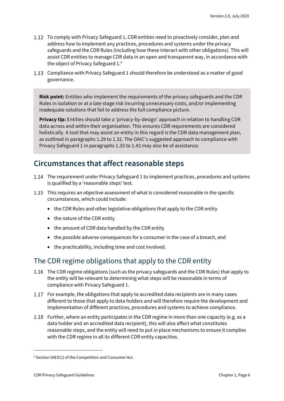- 1.12 To comply with Privacy Safeguard 1, CDR entities need to proactively consider, plan and address how to implement any practices, procedures and systems under the privacy safeguards and the CDR Rules (including how these interact with other obligations). This will assist CDR entities to manage CDR data in an open and transparent way, in accordance with the object of Privacy Safeguard 1. [6](#page-5-1)
- 1.13 Compliance with Privacy Safeguard 1 should therefore be understood as a matter of good governance.

**Risk point:** Entities who implement the requirements of the privacy safeguards and the CDR Rules in isolation or at a late stage risk incurring unnecessary costs, and/or implementing inadequate solutions that fail to address the full compliance picture.

**Privacy tip:** Entities should take a 'privacy-by-design' approach in relation to handling CDR data across and within their organisation. This ensures CDR requirements are considered holistically. A tool that may assist an entity in this regard is the CDR data management plan, as outlined in paragraphs 1.29 to 1.32. The OAIC's suggested approach to compliance with Privacy Safeguard 1 in paragraphs 1.33 to 1.42 may also be of assistance.

#### <span id="page-5-0"></span>**Circumstances that affect reasonable steps**

- 1.14 The requirement under Privacy Safeguard 1 to implement practices, procedures and systems is qualified by a 'reasonable steps' test.
- This requires an objective assessment of what is considered reasonable in the specific circumstances, which could include:
	- the CDR Rules and other legislative obligations that apply to the CDR entity
	- the nature of the CDR entity
	- the amount of CDR data handled by the CDR entity
	- the possible adverse consequences for a consumer in the case of a breach, and
	- the practicability, including time and cost involved.

#### The CDR regime obligations that apply to the CDR entity

- 1.16 The CDR regime obligations (such as the privacy safeguards and the CDR Rules) that apply to the entity will be relevant to determining what steps will be reasonable in terms of compliance with Privacy Safeguard 1.
- 1.17 For example, the obligations that apply to accredited data recipients are in many cases different to those that apply to data holders and will therefore require the development and implementation of different practices, procedures and systems to achieve compliance.
- 1.18 Further, where an entity participates in the CDR regime in more than one capacity (e.g. as a data holder and an accredited data recipient), this will also affect what constitutes reasonable steps, and the entity will need to put in place mechanisms to ensure it complies with the CDR regime in all its different CDR entity capacities.

<span id="page-5-1"></span><sup>6</sup> Section 56ED(1) of the Competition and Consumer Act.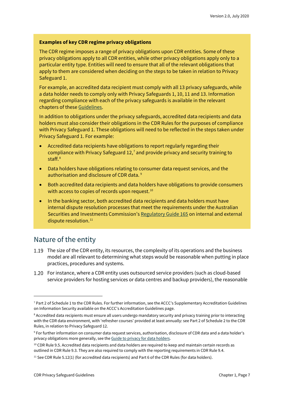#### **Examples of key CDR regime privacy obligations**

The CDR regime imposes a range of privacy obligations upon CDR entities. Some of these privacy obligations apply to all CDR entities, while other privacy obligations apply only to a particular entity type. Entities will need to ensure that all of the relevant obligations that apply to them are considered when deciding on the steps to be taken in relation to Privacy Safeguard 1.

For example, an accredited data recipient must comply with all 13 privacy safeguards, while a data holder needs to comply only with Privacy Safeguards 1, 10, 11 and 13. Information regarding compliance with each of the privacy safeguards is available in the relevant chapters of these [Guidelines.](https://www.oaic.gov.au/consumer-data-right/cdr-privacy-safeguard-guidelines/)

In addition to obligations under the privacy safeguards, accredited data recipients and data holders must also consider their obligations in the CDR Rules for the purposes of compliance with Privacy Safeguard 1. These obligations will need to be reflected in the steps taken under Privacy Safeguard 1. For example:

- Accredited data recipients have obligations to report regularly regarding their compliance with Privacy Safeguard 12,<sup>[7](#page-6-0)</sup> and provide privacy and security training to staff. [8](#page-6-1)
- Data holders have obligations relating to consumer data request services, and the authorisation and disclosure of CDR data. [9](#page-6-2)
- Both accredited data recipients and data holders have obligations to provide consumers with access to copies of records upon request.  $^{10}$  $^{10}$  $^{10}$
- In the banking sector, both accredited data recipients and data holders must have internal dispute resolution processes that meet the requirements under the Australian Securities and Investments Commission's [Regulatory Guide 165](https://www.asic.gov.au/regulatory-resources/find-a-document/regulatory-guides/rg-165-licensing-internal-and-external-dispute-resolution/) on internal and external dispute resolution.<sup>[11](#page-6-4)</sup>

#### Nature of the entity

- 1.19 The size of the CDR entity, its resources, the complexity of its operations and the business model are all relevant to determining what steps would be reasonable when putting in place practices, procedures and systems.
- For instance, where a CDR entity uses outsourced service providers (such as cloud-based service providers for hosting services or data centres and backup providers), the reasonable

<span id="page-6-0"></span><sup>7</sup> Part 2 of Schedule 1 to the CDR Rules. For further information, see the ACCC's Supplementary Accreditation Guidelines on Information Security available on the ACCC's Accreditation Guidelines page.

<span id="page-6-1"></span><sup>&</sup>lt;sup>8</sup> Accredited data recipients must ensure all users undergo mandatory security and privacy training prior to interacting with the CDR data environment, with 'refresher courses' provided at least annually: see Part 2 of Schedule 2 to the CDR Rules, in relation to Privacy Safeguard 12.

<span id="page-6-2"></span><sup>9</sup> For further information on consumer data request services, authorisation, disclosure of CDR data and a data holder's privacy obligations more generally, see th[e Guide to privacy for data holders.](https://www.oaic.gov.au/consumer-data-right/guidance-and-advice/guide-to-privacy-for-data-holders/)

<span id="page-6-3"></span> $10$  CDR Rule 9.5. Accredited data recipients and data holders are required to keep and maintain certain records as outlined in CDR Rule 9.3. They are also required to comply with the reporting requirements in CDR Rule 9.4.

<span id="page-6-4"></span><sup>&</sup>lt;sup>11</sup> See CDR Rule 5.12(1) (for accredited data recipients) and Part 6 of the CDR Rules (for data holders).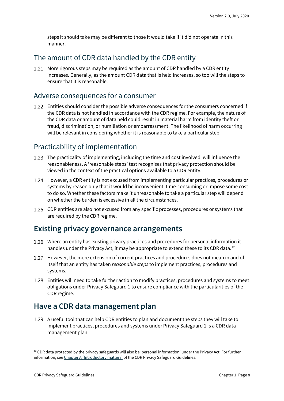steps it should take may be different to those it would take if it did not operate in this manner.

#### The amount of CDR data handled by the CDR entity

1.21 More rigorous steps may be required as the amount of CDR handled by a CDR entity increases. Generally, as the amount CDR data that is held increases, so too will the steps to ensure that it is reasonable.

#### Adverse consequences for a consumer

Entities should consider the possible adverse consequences for the consumers concerned if the CDR data is not handled in accordance with the CDR regime. For example, the nature of the CDR data or amount of data held could result in material harm from identity theft or fraud, discrimination, or humiliation or embarrassment. The likelihood of harm occurring will be relevant in considering whether it is reasonable to take a particular step.

#### Practicability of implementation

- 1.23 The practicality of implementing, including the time and cost involved, will influence the reasonableness. A 'reasonable steps' test recognises that privacy protection should be viewed in the context of the practical options available to a CDR entity.
- However, a CDR entity is not excused from implementing particular practices, procedures or systems by reason only that it would be inconvenient, time-consuming or impose some cost to do so. Whether these factors make it unreasonable to take a particular step will depend on whether the burden is excessive in all the circumstances.
- 1.25 CDR entities are also not excused from any specific processes, procedures or systems that are required by the CDR regime.

#### <span id="page-7-0"></span>**Existing privacy governance arrangements**

- Where an entity has existing privacy practices and procedures for personal information it handles under the Privacy Act, it may be appropriate to extend these to its CDR data.<sup>[12](#page-7-2)</sup>
- 1.27 However, the mere extension of current practices and procedures does not mean in and of itself that an entity has taken *reasonable steps* to implement practices, procedures and systems.
- Entities will need to take further action to modify practices, procedures and systems to meet obligations under Privacy Safeguard 1 to ensure compliance with the particularities of the CDR regime.

### <span id="page-7-1"></span>**Have a CDR data management plan**

A useful tool that can help CDR entities to plan and document the steps they will take to implement practices, procedures and systems under Privacy Safeguard 1 is a CDR data management plan.

<span id="page-7-2"></span> $12$  CDR data protected by the privacy safeguards will also be 'personal information' under the Privacy Act. For further information, se[e Chapter A \(Introductory matters\)](https://www.oaic.gov.au/consumer-data-right/cdr-privacy-safeguard-guidelines/chapter-a-introductory-matters/) of the CDR Privacy Safeguard Guidelines.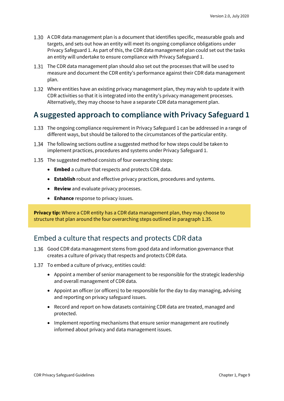- A CDR data management plan is a document that identifies specific, measurable goals and targets, and sets out how an entity will meet its ongoing compliance obligations under Privacy Safeguard 1. As part of this, the CDR data management plan could set out the tasks an entity will undertake to ensure compliance with Privacy Safeguard 1.
- The CDR data management plan should also set out the processes that will be used to measure and document the CDR entity's performance against their CDR data management plan.
- Where entities have an existing privacy management plan, they may wish to update it with CDR activities so that it is integrated into the entity's privacy management processes. Alternatively, they may choose to have a separate CDR data management plan.

### <span id="page-8-0"></span>**A suggested approach to compliance with Privacy Safeguard 1**

- The ongoing compliance requirement in Privacy Safeguard 1 can be addressed in a range of different ways, but should be tailored to the circumstances of the particular entity.
- The following sections outline a suggested method for how steps could be taken to implement practices, procedures and systems under Privacy Safeguard 1.
- 1.35 The suggested method consists of four overarching steps:
	- **Embed** a culture that respects and protects CDR data.
	- **Establish** robust and effective privacy practices, procedures and systems.
	- **Review** and evaluate privacy processes.
	- **Enhance** response to privacy issues.

**Privacy tip:** Where a CDR entity has a CDR data management plan, they may choose to structure that plan around the four overarching steps outlined in paragraph 1.35.

#### Embed a culture that respects and protects CDR data

- 1.36 Good CDR data management stems from good data and information governance that creates a culture of privacy that respects and protects CDR data.
- 1.37 To embed a culture of privacy, entities could:
	- Appoint a member of senior management to be responsible for the strategic leadership and overall management of CDR data.
	- Appoint an officer (or officers) to be responsible for the day to day managing, advising and reporting on privacy safeguard issues.
	- Record and report on how datasets containing CDR data are treated, managed and protected.
	- Implement reporting mechanisms that ensure senior management are routinely informed about privacy and data management issues.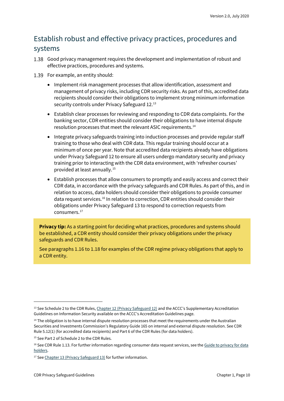### Establish robust and effective privacy practices, procedures and systems

- Good privacy management requires the development and implementation of robust and effective practices, procedures and systems.
- 1.39 For example, an entity should:
	- Implement risk management processes that allow identification, assessment and management of privacy risks, including CDR security risks. As part of this, accredited data recipients should consider their obligations to implement strong minimum information security controls under Privacy Safeguard 12. [13](#page-9-0)
	- Establish clear processes for reviewing and responding to CDR data complaints. For the banking sector, CDR entities should consider their obligations to have internal dispute resolution processes that meet the relevant ASIC requirements.<sup>[14](#page-9-1)</sup>
	- Integrate privacy safeguards training into induction processes and provide regular staff training to those who deal with CDR data. This regular training should occur at a minimum of once per year. Note that accredited data recipients already have obligations under Privacy Safeguard 12 to ensure all users undergo mandatory security and privacy training prior to interacting with the CDR data environment, with 'refresher courses' provided at least annually.[15](#page-9-2)
	- Establish processes that allow consumers to promptly and easily access and correct their CDR data, in accordance with the privacy safeguards and CDR Rules. As part of this, and in relation to access, data holders should consider their obligations to provide consumer data request services.[16](#page-9-3) In relation to correction, CDR entities should consider their obligations under Privacy Safeguard 13 to respond to correction requests from consumers. [17](#page-9-4)

**Privacy tip:** As a starting point for deciding what practices, procedures and systems should be established, a CDR entity should consider their privacy obligations under the privacy safeguards and CDR Rules.

See paragraphs 1.16 to 1.18 for examples of the CDR regime privacy obligations that apply to a CDR entity.

<span id="page-9-0"></span><sup>&</sup>lt;sup>13</sup> See Schedule 2 to the CDR Rules[, Chapter 12 \(Privacy Safeguard 12\)](https://www.oaic.gov.au/consumer-data-right/cdr-privacy-safeguard-guidelines/chapter-12-privacy-safeguard-12-security-of-cdr-data-and-destruction-or-de-identification-of-redundant-cdr-data/) and the ACCC's Supplementary Accreditation Guidelines on Information Security available on the ACCC's Accreditation Guidelines page.

<span id="page-9-1"></span><sup>&</sup>lt;sup>14</sup> The obligation is to have internal dispute resolution processes that meet the requirements under the Australian Securities and Investments Commission's Regulatory Guide 165 on internal and external dispute resolution. See CDR Rule 5.12(1) (for accredited data recipients) and Part 6 of the CDR Rules (for data holders).

<span id="page-9-2"></span><sup>&</sup>lt;sup>15</sup> See Part 2 of Schedule 2 to the CDR Rules.

<span id="page-9-3"></span><sup>&</sup>lt;sup>16</sup> See CDR Rule 1.13. For further information regarding consumer data request services, see the Guide to privacy for data [holders.](https://www.oaic.gov.au/consumer-data-right/guidance-and-advice/guide-to-privacy-for-data-holders/#consumer-data-request-services)

<span id="page-9-4"></span><sup>&</sup>lt;sup>17</sup> Se[e Chapter 13 \(Privacy Safeguard 13\)](https://www.oaic.gov.au/consumer-data-right/cdr-privacy-safeguard-guidelines/chapter-13-privacy-safeguard-13-correction-of-cdr-data/) for further information.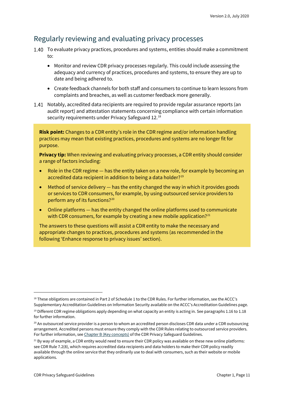#### Regularly reviewing and evaluating privacy processes

- 1.40 To evaluate privacy practices, procedures and systems, entities should make a commitment  $t^{\circ}$ 
	- Monitor and review CDR privacy processes regularly. This could include assessing the adequacy and currency of practices, procedures and systems, to ensure they are up to date and being adhered to.
	- Create feedback channels for both staff and consumers to continue to learn lessons from complaints and breaches, as well as customer feedback more generally.
- 1.41 Notably, accredited data recipients are required to provide regular assurance reports (an audit report) and attestation statements concerning compliance with certain information security requirements under Privacy Safeguard 12.<sup>[18](#page-10-0)</sup>

**Risk point:** Changes to a CDR entity's role in the CDR regime and/or information handling practices may mean that existing practices, procedures and systems are no longer fit for purpose.

**Privacy tip:** When reviewing and evaluating privacy processes, a CDR entity should consider a range of factors including:

- Role in the CDR regime has the entity taken on a new role, for example by becoming an accredited data recipient in addition to being a data holder?<sup>[19](#page-10-1)</sup>
- Method of service delivery  $-$  has the entity changed the way in which it provides goods or services to CDR consumers, for example, by using outsourced service providers to perform any of its functions?[20](#page-10-2)
- Online platforms has the entity changed the online platforms used to communicate with CDR consumers, for example by creating a new mobile application?<sup>[21](#page-10-3)</sup>

The answers to these questions will assist a CDR entity to make the necessary and appropriate changes to practices, procedures and systems (as recommended in the following 'Enhance response to privacy issues' section).

<span id="page-10-0"></span><sup>&</sup>lt;sup>18</sup> These obligations are contained in Part 2 of Schedule 1 to the CDR Rules. For further information, see the ACCC's Supplementary Accreditation Guidelines on Information Security available on the ACCC's Accreditation Guidelines page.

<span id="page-10-1"></span> $19$  Different CDR regime obligations apply depending on what capacity an entity is acting in. See paragraphs 1.16 to 1.18 for further information.

<span id="page-10-2"></span><sup>&</sup>lt;sup>20</sup> An outsourced service provider is a person to whom an accredited person discloses CDR data under a CDR outsourcing arrangement. Accredited persons must ensure they comply with the CDR Rules relating to outsourced service providers. For further information, se[e Chapter B \(Key concepts\)](https://www.oaic.gov.au/consumer-data-right/cdr-privacy-safeguard-guidelines/chapter-b-key-concepts/#outsourced-service-provider) of the CDR Privacy Safeguard Guidelines.

<span id="page-10-3"></span><sup>&</sup>lt;sup>21</sup> By way of example, a CDR entity would need to ensure their CDR policy was available on these new online platforms: see CDR Rule 7.2(8), which requires accredited data recipients and data holders to make their CDR policy readily available through the online service that they ordinarily use to deal with consumers, such as their website or mobile applications.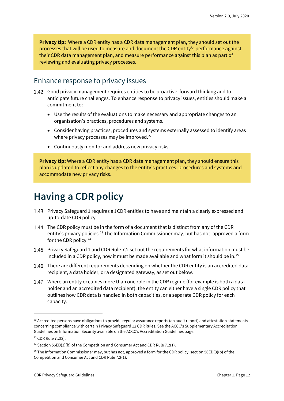**Privacy tip:** Where a CDR entity has a CDR data management plan, they should set out the processes that will be used to measure and document the CDR entity's performance against their CDR data management plan, and measure performance against this plan as part of reviewing and evaluating privacy processes.

#### Enhance response to privacy issues

- Good privacy management requires entities to be proactive, forward thinking and to anticipate future challenges. To enhance response to privacy issues, entities should make a commitment to:
	- Use the results of the evaluations to make necessary and appropriate changes to an organisation's practices, procedures and systems.
	- Consider having practices, procedures and systems externally assessed to identify areas where privacy processes may be improved. $^{22}$  $^{22}$  $^{22}$
	- Continuously monitor and address new privacy risks.

**Privacy tip:** Where a CDR entity has a CDR data management plan, they should ensure this plan is updated to reflect any changes to the entity's practices, procedures and systems and accommodate new privacy risks.

### <span id="page-11-0"></span>**Having a CDR policy**

- Privacy Safeguard 1 requires all CDR entities to have and maintain a clearly expressed and up-to-date CDR policy.
- 1.44 The CDR policy must be in the form of a document that is distinct from any of the CDR entity's privacy policies.<sup>[23](#page-11-2)</sup> The Information Commissioner may, but has not, approved a form for the CDR policy.<sup>[24](#page-11-3)</sup>
- Privacy Safeguard 1 and CDR Rule 7.2 set out the requirements for what information must be included in a CDR policy, how it must be made available and what form it should be in.<sup>[25](#page-11-4)</sup>
- 1.46 There are different requirements depending on whether the CDR entity is an accredited data recipient, a data holder, or a designated gateway, as set out below.
- Where an entity occupies more than one role in the CDR regime (for example is both a data holder and an accredited data recipient), the entity can either have a single CDR policy that outlines how CDR data is handled in both capacities, or a separate CDR policy for each capacity.

<span id="page-11-1"></span> $22$  Accredited persons have obligations to provide regular assurance reports (an audit report) and attestation statements concerning compliance with certain Privacy Safeguard 12 CDR Rules. See the ACCC's Supplementary Accreditation Guidelines on Information Security available on the ACCC's Accreditation Guidelines page.

<span id="page-11-2"></span><sup>23</sup> CDR Rule 7.2(2).

<span id="page-11-3"></span><sup>&</sup>lt;sup>24</sup> Section 56ED(3)(b) of the Competition and Consumer Act and CDR Rule 7.2(1).

<span id="page-11-4"></span><sup>&</sup>lt;sup>25</sup> The Information Commissioner may, but has not, approved a form for the CDR policy: section 56ED(3)(b) of the Competition and Consumer Act and CDR Rule 7.2(1).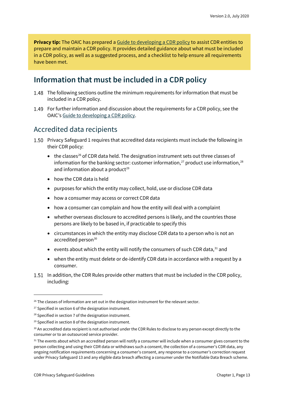**Privacy tip:** The OAIC has prepared a [Guide to developing a CDR policy](https://www.oaic.gov.au/consumer-data-right/guidance-and-advice/guide-to-developing-a-cdr-policy/) to assist CDR entities to prepare and maintain a CDR policy. It provides detailed guidance about what must be included in a CDR policy, as well as a suggested process, and a checklist to help ensure all requirements have been met.

#### <span id="page-12-0"></span>**Information that must be included in a CDR policy**

- The following sections outline the minimum requirements for information that must be included in a CDR policy.
- 1.49 For further information and discussion about the requirements for a CDR policy, see the OAIC'[s Guide to developing a CDR policy.](https://www.oaic.gov.au/consumer-data-right/guidance-and-advice/guide-to-developing-a-cdr-policy/)

#### Accredited data recipients

- Privacy Safeguard 1 requires that accredited data recipients must include the following in their CDR policy:
	- $\bullet$  the classes<sup>[26](#page-12-1)</sup> of CDR data held. The designation instrument sets out three classes of information for the banking sector: customer information, $^{27}$  $^{27}$  $^{27}$  product use information, $^{28}$  $^{28}$  $^{28}$ and information about a product $29$
	- how the CDR data is held
	- purposes for which the entity may collect, hold, use or disclose CDR data
	- how a consumer may access or correct CDR data
	- how a consumer can complain and how the entity will deal with a complaint
	- whether overseas disclosure to accredited persons is likely, and the countries those persons are likely to be based in, if practicable to specify this
	- circumstances in which the entity may disclose CDR data to a person who is not an accredited person<sup>[30](#page-12-5)</sup>
	- events about which the entity will notify the consumers of such CDR data, $^{31}$  $^{31}$  $^{31}$  and
	- when the entity must delete or de-identify CDR data in accordance with a request by a consumer.
- 1.51 In addition, the CDR Rules provide other matters that must be included in the CDR policy, including:

<span id="page-12-1"></span><sup>&</sup>lt;sup>26</sup> The classes of information are set out in the designation instrument for the relevant sector.

<span id="page-12-2"></span><sup>&</sup>lt;sup>27</sup> Specified in section 6 of the designation instrument.

<span id="page-12-3"></span><sup>&</sup>lt;sup>28</sup> Specified in section 7 of the designation instrument.

<span id="page-12-4"></span><sup>29</sup> Specified in section 8 of the designation instrument.

<span id="page-12-5"></span><sup>&</sup>lt;sup>30</sup> An accredited data recipient is not authorised under the CDR Rules to disclose to any person except directly to the consumer or to an outsourced service provider.

<span id="page-12-6"></span><sup>31</sup> The events about which an accredited person will notify a consumer will include when a consumer gives consent to the person collecting and using their CDR data or withdraws such a consent, the collection of a consumer's CDR data, any ongoing notification requirements concerning a consumer's consent, any response to a consumer's correction request under Privacy Safeguard 13 and any eligible data breach affecting a consumer under the Notifiable Data Breach scheme.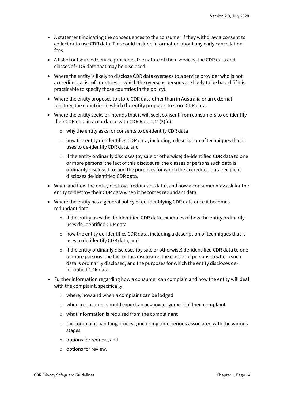- A statement indicating the consequences to the consumer if they withdraw a consent to collect or to use CDR data. This could include information about any early cancellation fees.
- A list of outsourced service providers, the nature of their services, the CDR data and classes of CDR data that may be disclosed.
- Where the entity is likely to disclose CDR data overseas to a service provider who is not accredited, a list of countries in which the overseas persons are likely to be based (if it is practicable to specify those countries in the policy).
- Where the entity proposes to store CDR data other than in Australia or an external territory, the countries in which the entity proposes to store CDR data.
- Where the entity seeks or intends that it will seek consent from consumers to de-identify their CDR data in accordance with CDR Rule 4.11(3)(e):
	- o why the entity asks for consents to de-identify CDR data
	- $\circ$  how the entity de-identifies CDR data, including a description of techniques that it uses to de-identify CDR data, and
	- $\circ$  if the entity ordinarily discloses (by sale or otherwise) de-identified CDR data to one or more persons: the fact of this disclosure; the classes of persons such data is ordinarily disclosed to; and the purposes for which the accredited data recipient discloses de-identified CDR data.
- When and how the entity destroys 'redundant data', and how a consumer may ask for the entity to destroy their CDR data when it becomes redundant data.
- Where the entity has a general policy of de-identifying CDR data once it becomes redundant data:
	- $\circ$  if the entity uses the de-identified CDR data, examples of how the entity ordinarily uses de-identified CDR data
	- $\circ$  how the entity de-identifies CDR data, including a description of techniques that it uses to de-identify CDR data, and
	- $\circ$  if the entity ordinarily discloses (by sale or otherwise) de-identified CDR data to one or more persons: the fact of this disclosure, the classes of persons to whom such data is ordinarily disclosed, and the purposes for which the entity discloses deidentified CDR data.
- Further information regarding how a consumer can complain and how the entity will deal with the complaint, specifically:
	- o where, how and when a complaint can be lodged
	- o when a consumer should expect an acknowledgement of their complaint
	- o what information is required from the complainant
	- $\circ$  the complaint handling process, including time periods associated with the various stages
	- o options for redress, and
	- o options for review.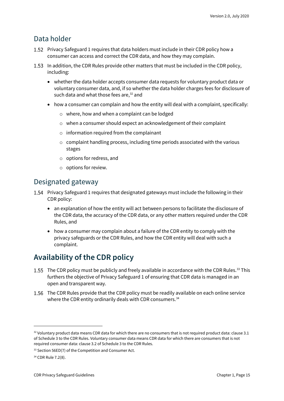#### Data holder

- 1.52 Privacy Safeguard 1 requires that data holders must include in their CDR policy how a consumer can access and correct the CDR data, and how they may complain.
- 1.53 In addition, the CDR Rules provide other matters that must be included in the CDR policy, including:
	- whether the data holder accepts consumer data requests for voluntary product data or voluntary consumer data, and, if so whether the data holder charges fees for disclosure of such data and what those fees are, [32](#page-14-1) and
	- how a consumer can complain and how the entity will deal with a complaint, specifically:
		- o where, how and when a complaint can be lodged
		- o when a consumer should expect an acknowledgement of their complaint
		- o information required from the complainant
		- $\circ$  complaint handling process, including time periods associated with the various stages
		- o options for redress, and
		- o options for review.

#### Designated gateway

- Privacy Safeguard 1 requires that designated gateways must include the following in their CDR policy:
	- an explanation of how the entity will act between persons to facilitate the disclosure of the CDR data, the accuracy of the CDR data, or any other matters required under the CDR Rules, and
	- how a consumer may complain about a failure of the CDR entity to comply with the privacy safeguards or the CDR Rules, and how the CDR entity will deal with such a complaint.

### <span id="page-14-0"></span>**Availability of the CDR policy**

- The CDR policy must be publicly and freely available in accordance with the CDR Rules.<sup>[33](#page-14-2)</sup> This furthers the objective of Privacy Safeguard 1 of ensuring that CDR data is managed in an open and transparent way.
- 1.56 The CDR Rules provide that the CDR policy must be readily available on each online service where the CDR entity ordinarily deals with CDR consumers.<sup>[34](#page-14-3)</sup>

<span id="page-14-1"></span> $32$  Voluntary product data means CDR data for which there are no consumers that is not required product data: clause 3.1 of Schedule 3 to the CDR Rules. Voluntary consumer data means CDR data for which there are consumers that is not required consumer data: clause 3.2 of Schedule 3 to the CDR Rules.

<span id="page-14-2"></span><sup>33</sup> Section 56ED(7) of the Competition and Consumer Act.

<span id="page-14-3"></span><sup>34</sup> CDR Rule 7.2(8).